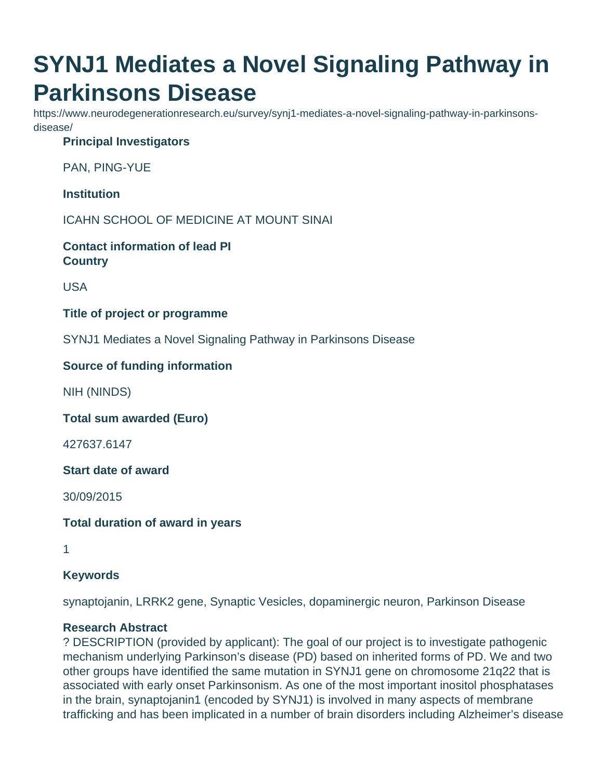# **SYNJ1 Mediates a Novel Signaling Pathway in Parkinsons Disease**

https://www.neurodegenerationresearch.eu/survey/synj1-mediates-a-novel-signaling-pathway-in-parkinsonsdisease/

## **Principal Investigators**

PAN, PING-YUE

**Institution**

ICAHN SCHOOL OF MEDICINE AT MOUNT SINAI

**Contact information of lead PI Country**

USA

#### **Title of project or programme**

SYNJ1 Mediates a Novel Signaling Pathway in Parkinsons Disease

### **Source of funding information**

NIH (NINDS)

**Total sum awarded (Euro)**

427637.6147

**Start date of award**

30/09/2015

**Total duration of award in years**

1

#### **Keywords**

synaptojanin, LRRK2 gene, Synaptic Vesicles, dopaminergic neuron, Parkinson Disease

### **Research Abstract**

? DESCRIPTION (provided by applicant): The goal of our project is to investigate pathogenic mechanism underlying Parkinson's disease (PD) based on inherited forms of PD. We and two other groups have identified the same mutation in SYNJ1 gene on chromosome 21q22 that is associated with early onset Parkinsonism. As one of the most important inositol phosphatases in the brain, synaptojanin1 (encoded by SYNJ1) is involved in many aspects of membrane trafficking and has been implicated in a number of brain disorders including Alzheimer's disease